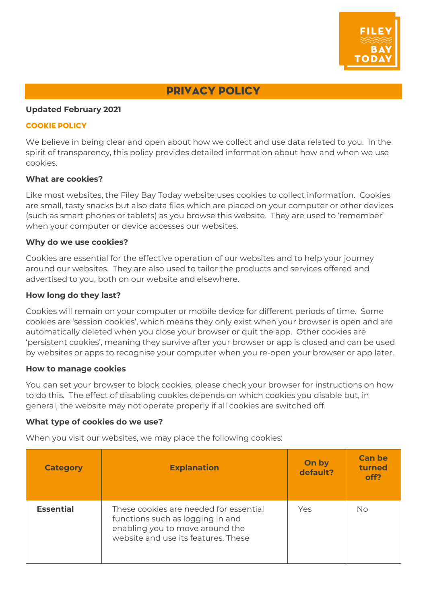

# Privacy Policy

#### **Updated February 2021**

#### Cookie Policy

We believe in being clear and open about how we collect and use data related to you. In the spirit of transparency, this policy provides detailed information about how and when we use cookies.

#### **What are cookies?**

Like most websites, the Filey Bay Today website uses cookies to collect information. Cookies are small, tasty snacks but also data files which are placed on your computer or other devices (such as smart phones or tablets) as you browse this website. They are used to 'remember' when your computer or device accesses our websites.

#### **Why do we use cookies?**

Cookies are essential for the effective operation of our websites and to help your journey around our websites. They are also used to tailor the products and services offered and advertised to you, both on our website and elsewhere.

### **How long do they last?**

Cookies will remain on your computer or mobile device for different periods of time. Some cookies are 'session cookies', which means they only exist when your browser is open and are automatically deleted when you close your browser or quit the app. Other cookies are 'persistent cookies', meaning they survive after your browser or app is closed and can be used by websites or apps to recognise your computer when you re-open your browser or app later.

#### **How to manage cookies**

You can set your browser to block cookies, please check your browser for instructions on how to do this. The effect of disabling cookies depends on which cookies you disable but, in general, the website may not operate properly if all cookies are switched off.

#### **What type of cookies do we use?**

When you visit our websites, we may place the following cookies:

| <b>Category</b>  | <b>Explanation</b>                                                                                                                                   | On by<br>default? | <b>Can be</b><br>turned<br>off? |
|------------------|------------------------------------------------------------------------------------------------------------------------------------------------------|-------------------|---------------------------------|
| <b>Essential</b> | These cookies are needed for essential<br>functions such as logging in and<br>enabling you to move around the<br>website and use its features. These | Yes               | No.                             |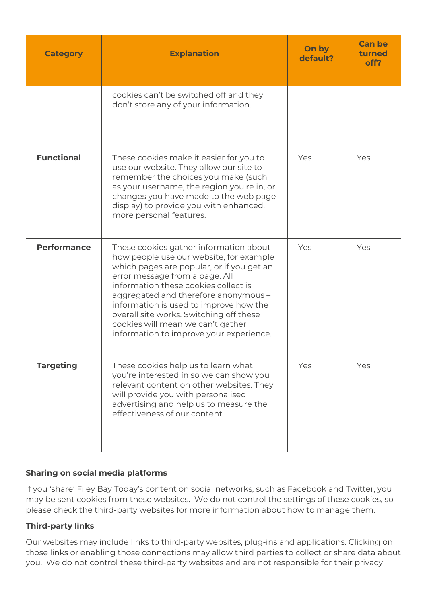| <b>Category</b>    | <b>Explanation</b>                                                                                                                                                                                                                                                                                                                                                                                                    | On by<br>default? | <b>Can be</b><br>turned<br>off? |
|--------------------|-----------------------------------------------------------------------------------------------------------------------------------------------------------------------------------------------------------------------------------------------------------------------------------------------------------------------------------------------------------------------------------------------------------------------|-------------------|---------------------------------|
|                    | cookies can't be switched off and they<br>don't store any of your information.                                                                                                                                                                                                                                                                                                                                        |                   |                                 |
| <b>Functional</b>  | These cookies make it easier for you to<br>use our website. They allow our site to<br>remember the choices you make (such<br>as your username, the region you're in, or<br>changes you have made to the web page<br>display) to provide you with enhanced,<br>more personal features.                                                                                                                                 | Yes               | Yes                             |
| <b>Performance</b> | These cookies gather information about<br>how people use our website, for example<br>which pages are popular, or if you get an<br>error message from a page. All<br>information these cookies collect is<br>aggregated and therefore anonymous -<br>information is used to improve how the<br>overall site works. Switching off these<br>cookies will mean we can't gather<br>information to improve your experience. | Yes               | Yes                             |
| <b>Targeting</b>   | These cookies help us to learn what<br>you're interested in so we can show you<br>relevant content on other websites. They<br>will provide you with personalised<br>advertising and help us to measure the<br>effectiveness of our content.                                                                                                                                                                           | Yes               | Yes                             |

# **Sharing on social media platforms**

If you 'share' Filey Bay Today's content on social networks, such as Facebook and Twitter, you may be sent cookies from these websites. We do not control the settings of these cookies, so please check the third-party websites for more information about how to manage them.

# **Third-party links**

Our websites may include links to third-party websites, plug-ins and applications. Clicking on those links or enabling those connections may allow third parties to collect or share data about you. We do not control these third-party websites and are not responsible for their privacy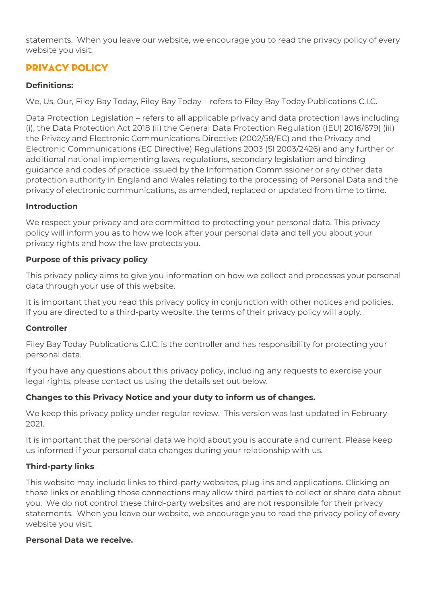statements. When you leave our website, we encourage you to read the privacy policy of every website you visit.

# Privacy Policy

# **Definitions:**

We, Us, Our, Filey Bay Today, Filey Bay Today – refers to Filey Bay Today Publications C.I.C.

Data Protection Legislation – refers to all applicable privacy and data protection laws including (i), the Data Protection Act 2018 (ii) the General Data Protection Regulation ((EU) 2016/679) (iii) the Privacy and Electronic Communications Directive (2002/58/EC) and the Privacy and Electronic Communications (EC Directive) Regulations 2003 (SI 2003/2426) and any further or additional national implementing laws, regulations, secondary legislation and binding guidance and codes of practice issued by the Information Commissioner or any other data protection authority in England and Wales relating to the processing of Personal Data and the privacy of electronic communications, as amended, replaced or updated from time to time.

## **Introduction**

We respect your privacy and are committed to protecting your personal data. This privacy policy will inform you as to how we look after your personal data and tell you about your privacy rights and how the law protects you.

## **Purpose of this privacy policy**

This privacy policy aims to give you information on how we collect and processes your personal data through your use of this website.

It is important that you read this privacy policy in conjunction with other notices and policies. If you are directed to a third-party website, the terms of their privacy policy will apply.

# **Controller**

Filey Bay Today Publications C.I.C. is the controller and has responsibility for protecting your personal data.

If you have any questions about this privacy policy, including any requests to exercise your legal rights, please contact us using the details set out below.

# **Changes to this Privacy Notice and your duty to inform us of changes.**

We keep this privacy policy under regular review. This version was last updated in February 2021.

It is important that the personal data we hold about you is accurate and current. Please keep us informed if your personal data changes during your relationship with us.

# **Third-party links**

This website may include links to third-party websites, plug-ins and applications. Clicking on those links or enabling those connections may allow third parties to collect or share data about you. We do not control these third-party websites and are not responsible for their privacy statements. When you leave our website, we encourage you to read the privacy policy of every website you visit.

### **Personal Data we receive.**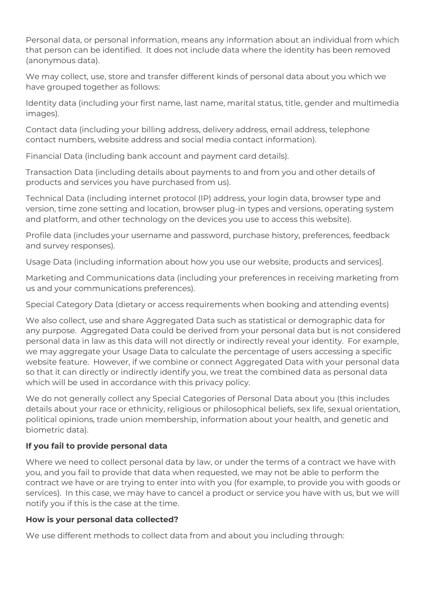Personal data, or personal information, means any information about an individual from which that person can be identified. It does not include data where the identity has been removed (anonymous data).

We may collect, use, store and transfer different kinds of personal data about you which we have grouped together as follows:

Identity data (including your first name, last name, marital status, title, gender and multimedia images).

Contact data (including your billing address, delivery address, email address, telephone contact numbers, website address and social media contact information).

Financial Data (including bank account and payment card details).

Transaction Data (including details about payments to and from you and other details of products and services you have purchased from us).

Technical Data (including internet protocol (IP) address, your login data, browser type and version, time zone setting and location, browser plug-in types and versions, operating system and platform, and other technology on the devices you use to access this website).

Profile data (includes your username and password, purchase history, preferences, feedback and survey responses).

Usage Data (including information about how you use our website, products and services].

Marketing and Communications data (including your preferences in receiving marketing from us and your communications preferences).

Special Category Data (dietary or access requirements when booking and attending events)

We also collect, use and share Aggregated Data such as statistical or demographic data for any purpose. Aggregated Data could be derived from your personal data but is not considered personal data in law as this data will not directly or indirectly reveal your identity. For example, we may aggregate your Usage Data to calculate the percentage of users accessing a specific website feature. However, if we combine or connect Aggregated Data with your personal data so that it can directly or indirectly identify you, we treat the combined data as personal data which will be used in accordance with this privacy policy.

We do not generally collect any Special Categories of Personal Data about you (this includes details about your race or ethnicity, religious or philosophical beliefs, sex life, sexual orientation, political opinions, trade union membership, information about your health, and genetic and biometric data).

# **If you fail to provide personal data**

Where we need to collect personal data by law, or under the terms of a contract we have with you, and you fail to provide that data when requested, we may not be able to perform the contract we have or are trying to enter into with you (for example, to provide you with goods or services). In this case, we may have to cancel a product or service you have with us, but we will notify you if this is the case at the time.

### **How is your personal data collected?**

We use different methods to collect data from and about you including through: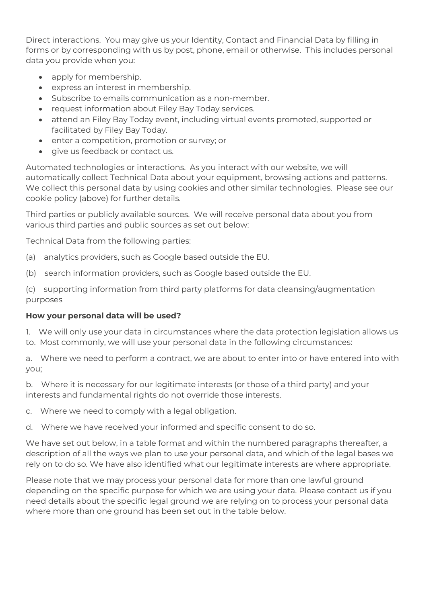Direct interactions. You may give us your Identity, Contact and Financial Data by filling in forms or by corresponding with us by post, phone, email or otherwise. This includes personal data you provide when you:

- apply for membership.
- express an interest in membership.
- Subscribe to emails communication as a non-member.
- request information about Filey Bay Today services.
- attend an Filey Bay Today event, including virtual events promoted, supported or facilitated by Filey Bay Today.
- enter a competition, promotion or survey; or
- give us feedback or contact us.

Automated technologies or interactions. As you interact with our website, we will automatically collect Technical Data about your equipment, browsing actions and patterns. We collect this personal data by using cookies and other similar technologies. Please see our cookie policy (above) for further details.

Third parties or publicly available sources. We will receive personal data about you from various third parties and public sources as set out below:

Technical Data from the following parties:

- (a) analytics providers, such as Google based outside the EU.
- (b) search information providers, such as Google based outside the EU.

(c) supporting information from third party platforms for data cleansing/augmentation purposes

# **How your personal data will be used?**

1. We will only use your data in circumstances where the data protection legislation allows us to. Most commonly, we will use your personal data in the following circumstances:

a. Where we need to perform a contract, we are about to enter into or have entered into with you;

b. Where it is necessary for our legitimate interests (or those of a third party) and your interests and fundamental rights do not override those interests.

c. Where we need to comply with a legal obligation.

d. Where we have received your informed and specific consent to do so.

We have set out below, in a table format and within the numbered paragraphs thereafter, a description of all the ways we plan to use your personal data, and which of the legal bases we rely on to do so. We have also identified what our legitimate interests are where appropriate.

Please note that we may process your personal data for more than one lawful ground depending on the specific purpose for which we are using your data. Please contact us if you need details about the specific legal ground we are relying on to process your personal data where more than one ground has been set out in the table below.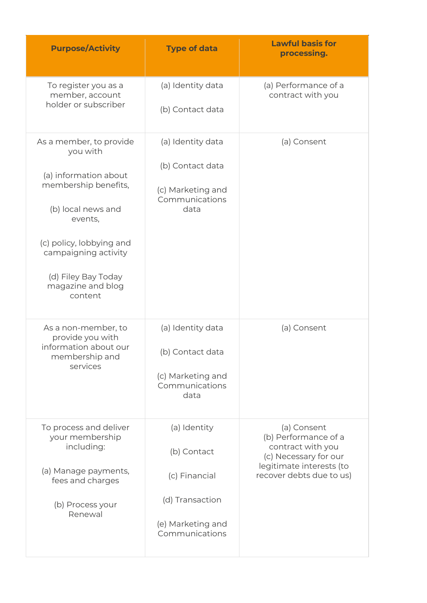| <b>Purpose/Activity</b>                                                                                                                                                                                                          | <b>Type of data</b>                                                                                    | <b>Lawful basis for</b><br>processing.                                                                                                    |
|----------------------------------------------------------------------------------------------------------------------------------------------------------------------------------------------------------------------------------|--------------------------------------------------------------------------------------------------------|-------------------------------------------------------------------------------------------------------------------------------------------|
| To register you as a<br>member, account<br>holder or subscriber                                                                                                                                                                  | (a) Identity data<br>(b) Contact data                                                                  | (a) Performance of a<br>contract with you                                                                                                 |
| As a member, to provide<br>you with<br>(a) information about<br>membership benefits,<br>(b) local news and<br>events,<br>(c) policy, lobbying and<br>campaigning activity<br>(d) Filey Bay Today<br>magazine and blog<br>content | (a) Identity data<br>(b) Contact data<br>(c) Marketing and<br>Communications<br>data                   | (a) Consent                                                                                                                               |
| As a non-member, to<br>provide you with<br>information about our<br>membership and<br>services                                                                                                                                   | (a) Identity data<br>(b) Contact data<br>(c) Marketing and<br>Communications<br>data                   | (a) Consent                                                                                                                               |
| To process and deliver<br>your membership<br>including:<br>(a) Manage payments,<br>fees and charges<br>(b) Process your<br>Renewal                                                                                               | (a) Identity<br>(b) Contact<br>(c) Financial<br>(d) Transaction<br>(e) Marketing and<br>Communications | (a) Consent<br>(b) Performance of a<br>contract with you<br>(c) Necessary for our<br>legitimate interests (to<br>recover debts due to us) |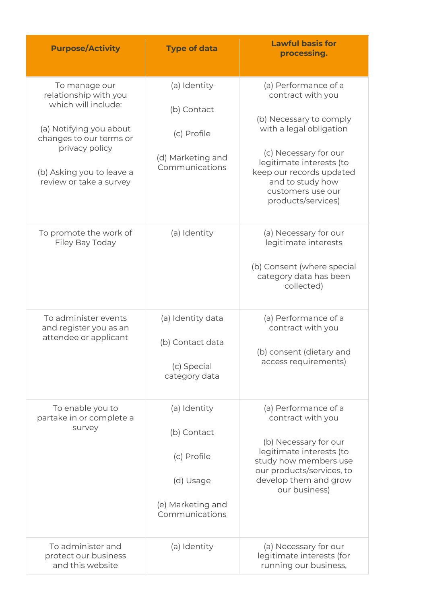| <b>Purpose/Activity</b>                                                                                                                                                                       | <b>Type of data</b>                                                                            | <b>Lawful basis for</b><br>processing.                                                                                                                                                                                                          |
|-----------------------------------------------------------------------------------------------------------------------------------------------------------------------------------------------|------------------------------------------------------------------------------------------------|-------------------------------------------------------------------------------------------------------------------------------------------------------------------------------------------------------------------------------------------------|
| To manage our<br>relationship with you<br>which will include:<br>(a) Notifying you about<br>changes to our terms or<br>privacy policy<br>(b) Asking you to leave a<br>review or take a survey | (a) Identity<br>(b) Contact<br>(c) Profile<br>(d) Marketing and<br>Communications              | (a) Performance of a<br>contract with you<br>(b) Necessary to comply<br>with a legal obligation<br>(c) Necessary for our<br>legitimate interests (to<br>keep our records updated<br>and to study how<br>customers use our<br>products/services) |
| To promote the work of<br>Filey Bay Today                                                                                                                                                     | (a) Identity                                                                                   | (a) Necessary for our<br>legitimate interests<br>(b) Consent (where special<br>category data has been<br>collected)                                                                                                                             |
| To administer events<br>and register you as an<br>attendee or applicant                                                                                                                       | (a) Identity data<br>(b) Contact data<br>(c) Special<br>category data                          | (a) Performance of a<br>contract with you<br>(b) consent (dietary and<br>access requirements)                                                                                                                                                   |
| To enable you to<br>partake in or complete a<br>survey                                                                                                                                        | (a) Identity<br>(b) Contact<br>(c) Profile<br>(d) Usage<br>(e) Marketing and<br>Communications | (a) Performance of a<br>contract with you<br>(b) Necessary for our<br>legitimate interests (to<br>study how members use<br>our products/services, to<br>develop them and grow<br>our business)                                                  |
| To administer and<br>protect our business<br>and this website                                                                                                                                 | (a) Identity                                                                                   | (a) Necessary for our<br>legitimate interests (for<br>running our business,                                                                                                                                                                     |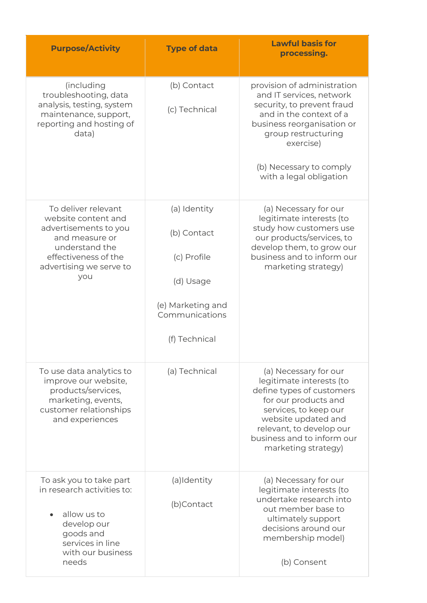| <b>Purpose/Activity</b>                                                                                                                                           | <b>Type of data</b>                                                                                             | <b>Lawful basis for</b><br>processing.                                                                                                                                                                                                   |
|-------------------------------------------------------------------------------------------------------------------------------------------------------------------|-----------------------------------------------------------------------------------------------------------------|------------------------------------------------------------------------------------------------------------------------------------------------------------------------------------------------------------------------------------------|
| (including<br>troubleshooting, data<br>analysis, testing, system<br>maintenance, support,<br>reporting and hosting of<br>data)                                    | (b) Contact<br>(c) Technical                                                                                    | provision of administration<br>and IT services, network<br>security, to prevent fraud<br>and in the context of a<br>business reorganisation or<br>group restructuring<br>exercise)<br>(b) Necessary to comply<br>with a legal obligation |
| To deliver relevant<br>website content and<br>advertisements to you<br>and measure or<br>understand the<br>effectiveness of the<br>advertising we serve to<br>you | (a) Identity<br>(b) Contact<br>(c) Profile<br>(d) Usage<br>(e) Marketing and<br>Communications<br>(f) Technical | (a) Necessary for our<br>legitimate interests (to<br>study how customers use<br>our products/services, to<br>develop them, to grow our<br>business and to inform our<br>marketing strategy)                                              |
| To use data analytics to<br>improve our website,<br>products/services,<br>marketing, events,<br>customer relationships<br>and experiences                         | (a) Technical                                                                                                   | (a) Necessary for our<br>legitimate interests (to<br>define types of customers<br>for our products and<br>services, to keep our<br>website updated and<br>relevant, to develop our<br>business and to inform our<br>marketing strategy)  |
| To ask you to take part<br>in research activities to:<br>allow us to<br>develop our<br>goods and<br>services in line<br>with our business<br>needs                | (a)Identity<br>(b)Contact                                                                                       | (a) Necessary for our<br>legitimate interests (to<br>undertake research into<br>out member base to<br>ultimately support<br>decisions around our<br>membership model)<br>(b) Consent                                                     |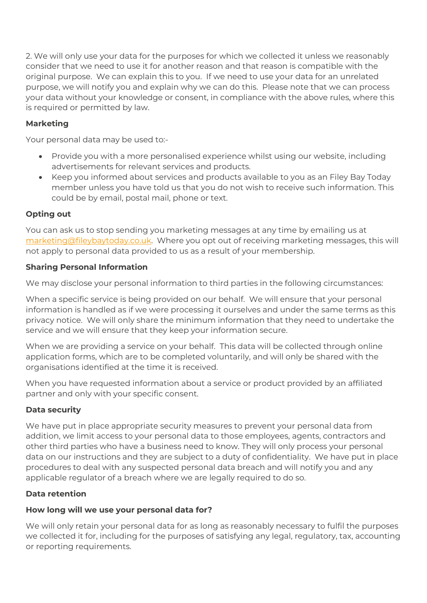2. We will only use your data for the purposes for which we collected it unless we reasonably consider that we need to use it for another reason and that reason is compatible with the original purpose. We can explain this to you. If we need to use your data for an unrelated purpose, we will notify you and explain why we can do this. Please note that we can process your data without your knowledge or consent, in compliance with the above rules, where this is required or permitted by law.

# **Marketing**

Your personal data may be used to:-

- Provide you with a more personalised experience whilst using our website, including advertisements for relevant services and products.
- Keep you informed about services and products available to you as an Filey Bay Today member unless you have told us that you do not wish to receive such information. This could be by email, postal mail, phone or text.

# **Opting out**

You can ask us to stop sending you marketing messages at any time by emailing us at [marketing@fileybaytoday.co.uk.](mailto:marketing@fileybaytoday.co.uk?subject=Unsubscribe%20from%20Marketing) Where you opt out of receiving marketing messages, this will not apply to personal data provided to us as a result of your membership.

## **Sharing Personal Information**

We may disclose your personal information to third parties in the following circumstances:

When a specific service is being provided on our behalf. We will ensure that your personal information is handled as if we were processing it ourselves and under the same terms as this privacy notice. We will only share the minimum information that they need to undertake the service and we will ensure that they keep your information secure.

When we are providing a service on your behalf. This data will be collected through online application forms, which are to be completed voluntarily, and will only be shared with the organisations identified at the time it is received.

When you have requested information about a service or product provided by an affiliated partner and only with your specific consent.

### **Data security**

We have put in place appropriate security measures to prevent your personal data from addition, we limit access to your personal data to those employees, agents, contractors and other third parties who have a business need to know. They will only process your personal data on our instructions and they are subject to a duty of confidentiality. We have put in place procedures to deal with any suspected personal data breach and will notify you and any applicable regulator of a breach where we are legally required to do so.

### **Data retention**

### **How long will we use your personal data for?**

We will only retain your personal data for as long as reasonably necessary to fulfil the purposes we collected it for, including for the purposes of satisfying any legal, regulatory, tax, accounting or reporting requirements.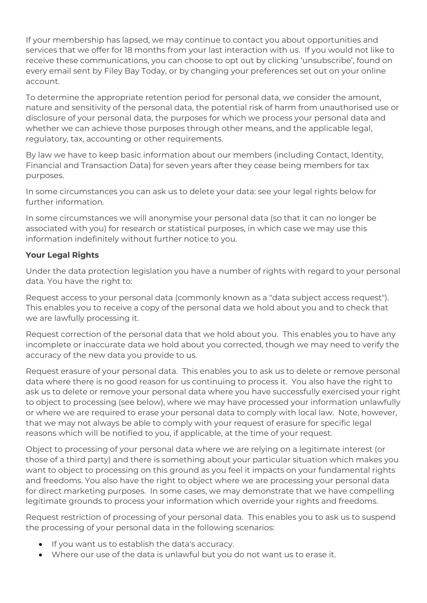If your membership has lapsed, we may continue to contact you about opportunities and services that we offer for 18 months from your last interaction with us. If you would not like to receive these communications, you can choose to opt out by clicking 'unsubscribe', found on every email sent by Filey Bay Today, or by changing your preferences set out on your online account.

To determine the appropriate retention period for personal data, we consider the amount, nature and sensitivity of the personal data, the potential risk of harm from unauthorised use or disclosure of your personal data, the purposes for which we process your personal data and whether we can achieve those purposes through other means, and the applicable legal, regulatory, tax, accounting or other requirements.

By law we have to keep basic information about our members (including Contact, Identity, Financial and Transaction Data) for seven years after they cease being members for tax purposes.

In some circumstances you can ask us to delete your data: see your legal rights below for further information.

In some circumstances we will anonymise your personal data (so that it can no longer be associated with you) for research or statistical purposes, in which case we may use this information indefinitely without further notice to you.

## **Your Legal Rights**

Under the data protection legislation you have a number of rights with regard to your personal data. You have the right to:

Request access to your personal data (commonly known as a "data subject access request"). This enables you to receive a copy of the personal data we hold about you and to check that we are lawfully processing it.

Request correction of the personal data that we hold about you. This enables you to have any incomplete or inaccurate data we hold about you corrected, though we may need to verify the accuracy of the new data you provide to us.

Request erasure of your personal data. This enables you to ask us to delete or remove personal data where there is no good reason for us continuing to process it. You also have the right to ask us to delete or remove your personal data where you have successfully exercised your right to object to processing (see below), where we may have processed your information unlawfully or where we are required to erase your personal data to comply with local law. Note, however, that we may not always be able to comply with your request of erasure for specific legal reasons which will be notified to you, if applicable, at the time of your request.

Object to processing of your personal data where we are relying on a legitimate interest (or those of a third party) and there is something about your particular situation which makes you want to object to processing on this ground as you feel it impacts on your fundamental rights and freedoms. You also have the right to object where we are processing your personal data for direct marketing purposes. In some cases, we may demonstrate that we have compelling legitimate grounds to process your information which override your rights and freedoms.

Request restriction of processing of your personal data. This enables you to ask us to suspend the processing of your personal data in the following scenarios:

- If you want us to establish the data's accuracy.
- Where our use of the data is unlawful but you do not want us to erase it.